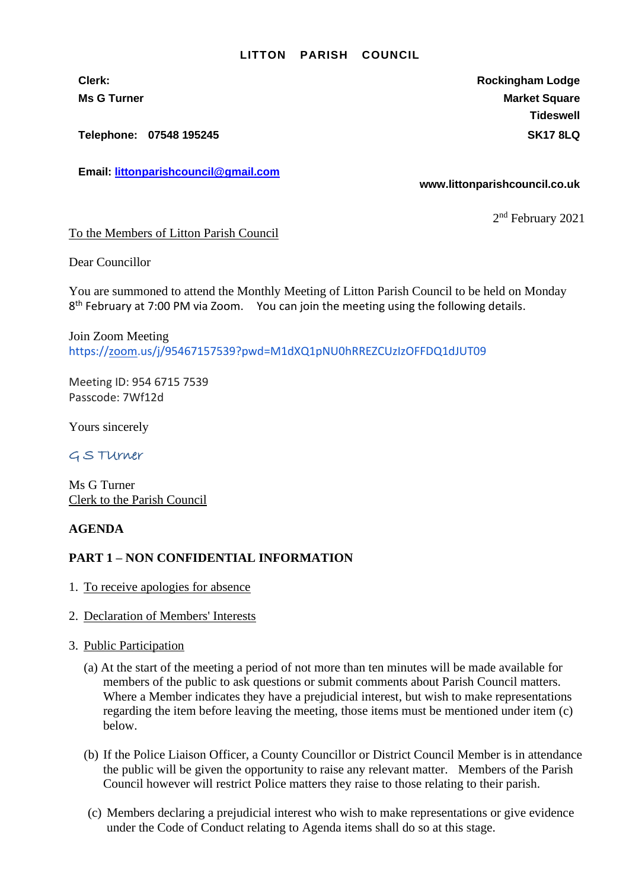#### **LITTON PARISH COUNCIL**

**Clerk: Rockingham Lodge Ms G Turner Market Square** Market Square Market Square Market Square **Tideswell**

**Telephone: 07548 195245 SK17 8LQ**

**Email: [littonparishcouncil@gmail.com](mailto:littonparishcouncil@gmail.com)**

#### **www.littonparishcouncil.co.uk**

2<sup>nd</sup> February 2021

To the Members of Litton Parish Council

Dear Councillor

You are summoned to attend the Monthly Meeting of Litton Parish Council to be held on Monday 8<sup>th</sup> February at 7:00 PM via Zoom. You can join the meeting using the following details.

Join Zoom Meeting <https://zoom.us/j/95467157539?pwd=M1dXQ1pNU0hRREZCUzIzOFFDQ1dJUT09>

Meeting ID: 954 6715 7539 Passcode: 7Wf12d

Yours sincerely

## G S TUrner

Ms G Turner Clerk to the Parish Council

## **AGENDA**

## **PART 1 – NON CONFIDENTIAL INFORMATION**

- 1. To receive apologies for absence
- 2. Declaration of Members' Interests
- 3. Public Participation
	- (a) At the start of the meeting a period of not more than ten minutes will be made available for members of the public to ask questions or submit comments about Parish Council matters. Where a Member indicates they have a prejudicial interest, but wish to make representations regarding the item before leaving the meeting, those items must be mentioned under item (c) below.
	- (b) If the Police Liaison Officer, a County Councillor or District Council Member is in attendance the public will be given the opportunity to raise any relevant matter. Members of the Parish Council however will restrict Police matters they raise to those relating to their parish.
	- (c) Members declaring a prejudicial interest who wish to make representations or give evidence under the Code of Conduct relating to Agenda items shall do so at this stage.